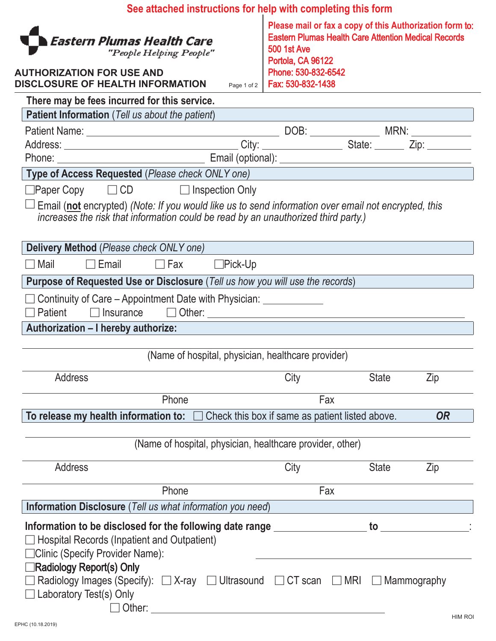|                                                                                                                                                                                                   | See attached instructions for help with completing this form |                                                                                                                                                                                                                              |              |           |
|---------------------------------------------------------------------------------------------------------------------------------------------------------------------------------------------------|--------------------------------------------------------------|------------------------------------------------------------------------------------------------------------------------------------------------------------------------------------------------------------------------------|--------------|-----------|
| ا Eastern Plumas Health Care<br>"People Helping People"<br><b>AUTHORIZATION FOR USE AND</b><br>DISCLOSURE OF HEALTH INFORMATION                                                                   |                                                              | Please mail or fax a copy of this Authorization form to:<br><b>Eastern Plumas Health Care Attention Medical Records</b><br><b>500 1st Ave</b><br>Portola, CA 96122<br>Phone: 530-832-6542<br>Page 1 of 2   Fax: 530-832-1438 |              |           |
| There may be fees incurred for this service.                                                                                                                                                      |                                                              |                                                                                                                                                                                                                              |              |           |
| <b>Patient Information</b> (Tell us about the patient)                                                                                                                                            |                                                              |                                                                                                                                                                                                                              |              |           |
|                                                                                                                                                                                                   |                                                              |                                                                                                                                                                                                                              |              |           |
|                                                                                                                                                                                                   |                                                              |                                                                                                                                                                                                                              |              |           |
|                                                                                                                                                                                                   |                                                              |                                                                                                                                                                                                                              |              |           |
| Type of Access Requested (Please check ONLY one) Type of Access Requested (Please check ONLY one)                                                                                                 |                                                              |                                                                                                                                                                                                                              |              |           |
| $\Box$ Paper Copy $\Box$ CD $\Box$ Inspection Only                                                                                                                                                |                                                              |                                                                                                                                                                                                                              |              |           |
| $\Box$ Email (not encrypted) (Note: If you would like us to send information over email not encrypted, this<br>increases the risk that information could be read by an unauthorized third party.) |                                                              |                                                                                                                                                                                                                              |              |           |
| Delivery Method (Please check ONLY one)                                                                                                                                                           |                                                              |                                                                                                                                                                                                                              |              |           |
| Mail<br>$\Box$ Email                                                                                                                                                                              | $\Box$ Fax $\Box$ Pick-Up                                    |                                                                                                                                                                                                                              |              |           |
| Purpose of Requested Use or Disclosure (Tell us how you will use the records)                                                                                                                     |                                                              |                                                                                                                                                                                                                              |              |           |
| Patient                                                                                                                                                                                           |                                                              |                                                                                                                                                                                                                              |              |           |
| Authorization – I hereby authorize:                                                                                                                                                               |                                                              |                                                                                                                                                                                                                              |              |           |
|                                                                                                                                                                                                   | (Name of hospital, physician, healthcare provider)           |                                                                                                                                                                                                                              |              |           |
| <b>Address</b>                                                                                                                                                                                    |                                                              | City                                                                                                                                                                                                                         | <b>State</b> | Zip       |
|                                                                                                                                                                                                   | Phone                                                        | Fax                                                                                                                                                                                                                          |              |           |
| To release my health information to: $\Box$ Check this box if same as patient listed above.                                                                                                       |                                                              |                                                                                                                                                                                                                              |              | <b>OR</b> |
|                                                                                                                                                                                                   |                                                              |                                                                                                                                                                                                                              |              |           |
|                                                                                                                                                                                                   | (Name of hospital, physician, healthcare provider, other)    |                                                                                                                                                                                                                              |              |           |
| <b>Address</b>                                                                                                                                                                                    |                                                              | City                                                                                                                                                                                                                         | <b>State</b> | Zip       |
|                                                                                                                                                                                                   | Phone                                                        | Fax                                                                                                                                                                                                                          |              |           |
| Information Disclosure (Tell us what information you need)                                                                                                                                        |                                                              |                                                                                                                                                                                                                              |              |           |
| Information to be disclosed for the following date range _________________ to ________________:<br>Hospital Records (Inpatient and Outpatient)<br>□ Clinic (Specify Provider Name):               |                                                              |                                                                                                                                                                                                                              |              |           |
| Radiology Report(s) Only<br>Radiology Images (Specify): $\Box X$ -ray $\Box$ Ultrasound $\Box$ CT scan $\Box$ MRI $\Box$ Mammography<br>Laboratory Test(s) Only                                   |                                                              |                                                                                                                                                                                                                              |              |           |